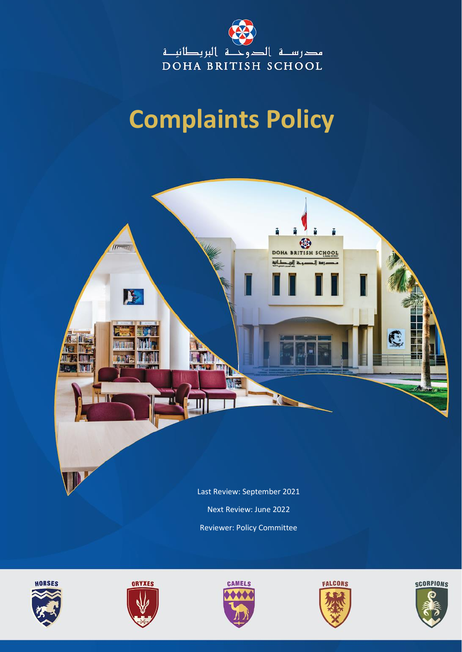

## **Complaints Policy**











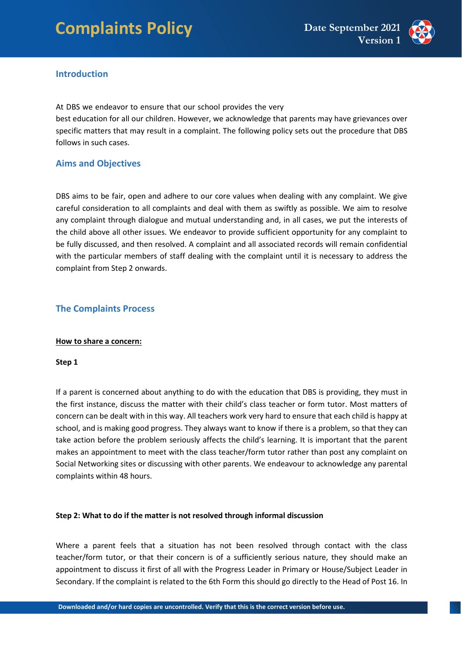

#### **Introduction**

At DBS we endeavor to ensure that our school provides the very

best education for all our children. However, we acknowledge that parents may have grievances over specific matters that may result in a complaint. The following policy sets out the procedure that DBS follows in such cases.

#### **Aims and Objectives**

DBS aims to be fair, open and adhere to our core values when dealing with any complaint. We give careful consideration to all complaints and deal with them as swiftly as possible. We aim to resolve any complaint through dialogue and mutual understanding and, in all cases, we put the interests of the child above all other issues. We endeavor to provide sufficient opportunity for any complaint to be fully discussed, and then resolved. A complaint and all associated records will remain confidential with the particular members of staff dealing with the complaint until it is necessary to address the complaint from Step 2 onwards.

#### **The Complaints Process**

#### **How to share a concern:**

#### **Step 1**

If a parent is concerned about anything to do with the education that DBS is providing, they must in the first instance, discuss the matter with their child's class teacher or form tutor. Most matters of concern can be dealt with in this way. All teachers work very hard to ensure that each child is happy at school, and is making good progress. They always want to know if there is a problem, so that they can take action before the problem seriously affects the child's learning. It is important that the parent makes an appointment to meet with the class teacher/form tutor rather than post any complaint on Social Networking sites or discussing with other parents. We endeavour to acknowledge any parental complaints within 48 hours.

#### **Step 2: What to do if the matter is not resolved through informal discussion**

Where a parent feels that a situation has not been resolved through contact with the class teacher/form tutor, or that their concern is of a sufficiently serious nature, they should make an appointment to discuss it first of all with the Progress Leader in Primary or House/Subject Leader in Secondary. If the complaint is related to the 6th Form this should go directly to the Head of Post 16. In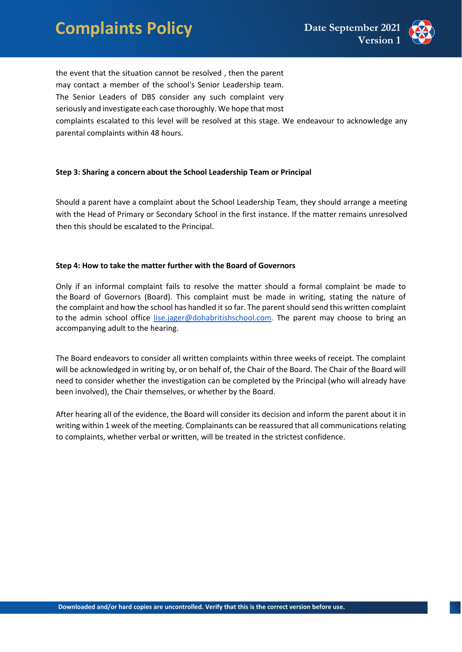### **Complaints Policy** Date September 2021



the event that the situation cannot be resolved , then the parent may contact a member of the school's Senior Leadership team. The Senior Leaders of DBS consider any such complaint very seriously and investigate each case thoroughly. We hope that most complaints escalated to this level will be resolved at this stage. We endeavour to acknowledge any parental complaints within 48 hours.

#### **Step 3: Sharing a concern about the School Leadership Team or Principal**

Should a parent have a complaint about the School Leadership Team, they should arrange a meeting with the Head of Primary or Secondary School in the first instance. If the matter remains unresolved then this should be escalated to the Principal.

#### **Step 4: How to take the matter further with the Board of Governors**

Only if an informal complaint fails to resolve the matter should a formal complaint be made to the Board of Governors (Board). This complaint must be made in writing, stating the nature of the complaint and how the school has handled it so far. The parent should send this written complaint to the admin school office lise.jager@dohabritishschool.com. The parent may choose to bring an accompanying adult to the hearing.

The Board endeavors to consider all written complaints within three weeks of receipt. The complaint will be acknowledged in writing by, or on behalf of, the Chair of the Board. The Chair of the Board will need to consider whether the investigation can be completed by the Principal (who will already have been involved), the Chair themselves, or whether by the Board.

After hearing all of the evidence, the Board will consider its decision and inform the parent about it in writing within 1 week of the meeting. Complainants can be reassured that all communications relating to complaints, whether verbal or written, will be treated in the strictest confidence.